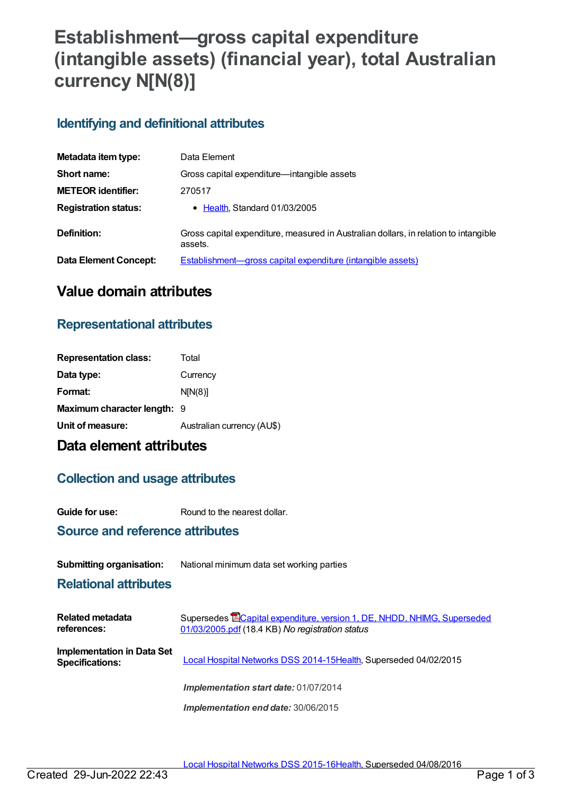# **Establishment—gross capital expenditure (intangible assets) (financial year), total Australian currency N[N(8)]**

## **Identifying and definitional attributes**

| Metadata item type:         | Data Element                                                                                    |  |
|-----------------------------|-------------------------------------------------------------------------------------------------|--|
| Short name:                 | Gross capital expenditure—intangible assets                                                     |  |
| <b>METEOR identifier:</b>   | 270517                                                                                          |  |
| <b>Registration status:</b> | • Health, Standard 01/03/2005                                                                   |  |
| Definition:                 | Gross capital expenditure, measured in Australian dollars, in relation to intangible<br>assets. |  |
| Data Element Concept:       | Establishment—gross capital expenditure (intangible assets)                                     |  |

# **Value domain attributes**

### **Representational attributes**

| <b>Representation class:</b> | Total                      |
|------------------------------|----------------------------|
| Data type:                   | Currency                   |
| Format:                      | N[N(8)]                    |
| Maximum character length: 9  |                            |
| Unit of measure:             | Australian currency (AU\$) |

# **Data element attributes**

### **Collection and usage attributes**

**Guide for use:** Round to the nearest dollar.

### **Source and reference attributes**

#### **Submitting organisation:** National minimum data set working parties

#### **Relational attributes**

| Related metadata<br>references:                             | Supersedes <b>ECapital expenditure, version 1, DE, NHDD, NHIMG, Superseded</b><br>01/03/2005.pdf (18.4 KB) No registration status |
|-------------------------------------------------------------|-----------------------------------------------------------------------------------------------------------------------------------|
| <b>Implementation in Data Set</b><br><b>Specifications:</b> | Local Hospital Networks DSS 2014-15Health, Superseded 04/02/2015                                                                  |
|                                                             | <b>Implementation start date: 01/07/2014</b>                                                                                      |
|                                                             | Implementation end date: 30/06/2015                                                                                               |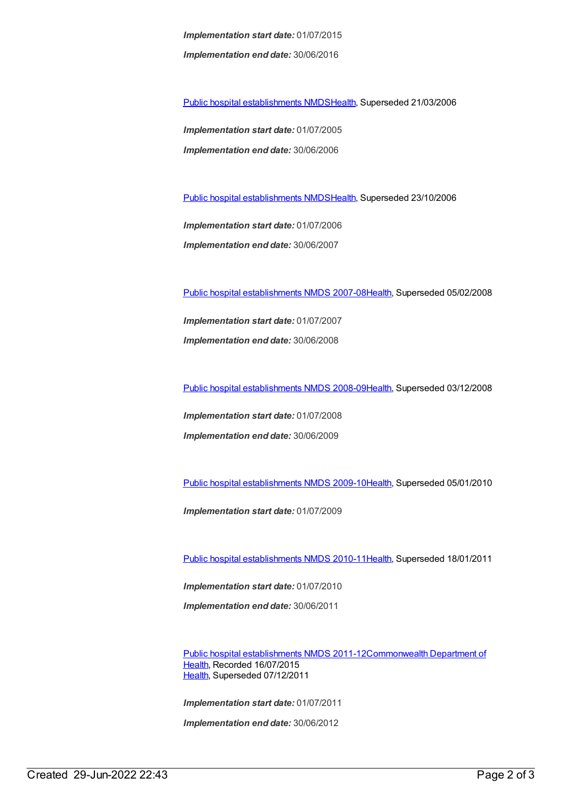*Implementation start date:* 01/07/2015 *Implementation end date:* 30/06/2016

Public hospital [establishments](https://meteor.aihw.gov.au/content/273047) NMDS[Health](https://meteor.aihw.gov.au/RegistrationAuthority/12), Superseded 21/03/2006

*Implementation start date:* 01/07/2005 *Implementation end date:* 30/06/2006

Public hospital [establishments](https://meteor.aihw.gov.au/content/334285) NMDS[Health](https://meteor.aihw.gov.au/RegistrationAuthority/12), Superseded 23/10/2006

*Implementation start date:* 01/07/2006 *Implementation end date:* 30/06/2007

Public hospital [establishments](https://meteor.aihw.gov.au/content/345139) NMDS 2007-08[Health](https://meteor.aihw.gov.au/RegistrationAuthority/12), Superseded 05/02/2008

*Implementation start date:* 01/07/2007 *Implementation end date:* 30/06/2008

Public hospital [establishments](https://meteor.aihw.gov.au/content/362302) NMDS 2008-09[Health](https://meteor.aihw.gov.au/RegistrationAuthority/12), Superseded 03/12/2008

*Implementation start date:* 01/07/2008 *Implementation end date:* 30/06/2009

Public hospital [establishments](https://meteor.aihw.gov.au/content/374924) NMDS 2009-10[Health](https://meteor.aihw.gov.au/RegistrationAuthority/12), Superseded 05/01/2010

*Implementation start date:* 01/07/2009

Public hospital [establishments](https://meteor.aihw.gov.au/content/386794) NMDS 2010-11[Health](https://meteor.aihw.gov.au/RegistrationAuthority/12), Superseded 18/01/2011

*Implementation start date:* 01/07/2010 *Implementation end date:* 30/06/2011

Public hospital [establishments](https://meteor.aihw.gov.au/content/426900) NMDS [2011-12Commonwealth](https://meteor.aihw.gov.au/RegistrationAuthority/10) Department of Health, Recorded 16/07/2015 [Health](https://meteor.aihw.gov.au/RegistrationAuthority/12), Superseded 07/12/2011

*Implementation start date:* 01/07/2011

*Implementation end date:* 30/06/2012